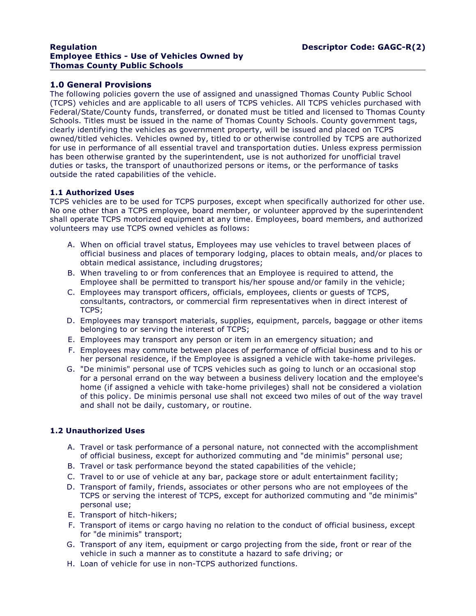#### **Regulation Descriptor Code: GAGC-R(2) Employee Ethics - Use of Vehicles Owned by Thomas County Public Schools**

# **1.0 General Provisions**

The following policies govern the use of assigned and unassigned Thomas County Public School (TCPS) vehicles and are applicable to all users of TCPS vehicles. All TCPS vehicles purchased with Federal/State/County funds, transferred, or donated must be titled and licensed to Thomas County Schools. Titles must be issued in the name of Thomas County Schools. County government tags, clearly identifying the vehicles as government property, will be issued and placed on TCPS owned/titled vehicles. Vehicles owned by, titled to or otherwise controlled by TCPS are authorized for use in performance of all essential travel and transportation duties. Unless express permission has been otherwise granted by the superintendent, use is not authorized for unofficial travel duties or tasks, the transport of unauthorized persons or items, or the performance of tasks outside the rated capabilities of the vehicle.

# **1.1 Authorized Uses**

TCPS vehicles are to be used for TCPS purposes, except when specifically authorized for other use.<br>No one other than a TCPS employee, board member, or volunteer approved by the superintendent shall operate TCPS motorized equipment at any time. Employees, board members, and authorized volunteers may use TCPS owned vehicles as follows:

- A. When on official travel status, Employees may use vehicles to travel between places of official business and places of temporary lodging, places to obtain meals, and/or places to obtain medical assistance, including drugstores;
- B. When traveling to or from conferences that an Employee is required to attend, the Employee shall be permitted to transport his/her spouse and/or family in the vehicle;
- C. Employees may transport officers, officials, employees, clients or guests of TCPS, consultants, contractors, or commercial firm representatives when in direct interest of TCPS;
- D. Employees may transport materials, supplies, equipment, parcels, baggage or other items belonging to or serving the interest of TCPS;
- E. Employees may transport any person or item in an emergency situation; and
- F. Employees may commute between places of performance of official business and to his or her personal residence, if the Employee is assigned a vehicle with take-home privileges.
- G. "De minimis" personal use of TCPS vehicles such as going to lunch or an occasional stop for a personal errand on the way between a business delivery location and the employee's home (if assigned a vehicle with take-home privileges) shall not be considered a violation of this policy. De minimis personal use shall not exceed two miles of out of the way travel and shall not be daily, customary, or routine.

# **1.2 Unauthorized Uses**

- A. Travel or task performance of a personal nature, not connected with the accomplishment of official business, except for authorized commuting and "de minimis" personal use;
- B. Travel or task performance beyond the stated capabilities of the vehicle;
- C. Travel to or use of vehicle at any bar, package store or adult entertainment facility;
- D. Transport of family, friends, associates or other persons who are not employees of the TCPS or serving the interest of TCPS, except for authorized commuting and "de minimis" personal use;
- E. Transport of hitch-hikers;
- F. Transport of items or cargo having no relation to the conduct of official business, except for "de minimis" transport;
- G. Transport of any item, equipment or cargo projecting from the side, front or rear of the vehicle in such a manner as to constitute a hazard to safe driving; or
- H. Loan of vehicle for use in non-TCPS authorized functions.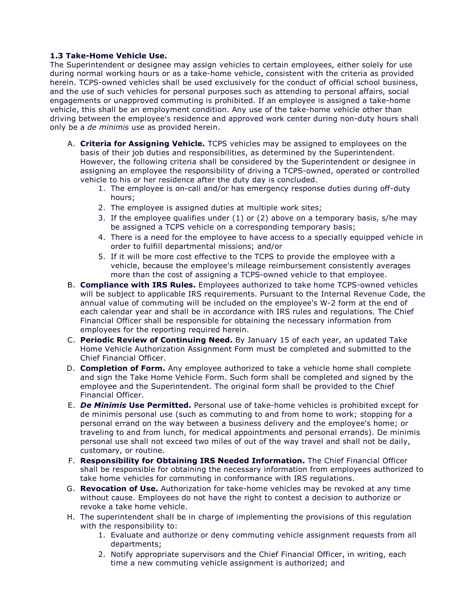**1.3 Take-Home Vehicle Use.**<br>The Superintendent or designee may assign vehicles to certain employees, either solely for use during normal working hours or as a take-home vehicle, consistent with the criteria as provided herein. TCPS-owned vehicles shall be used exclusively for the conduct of official school business, and the use of such vehicles for personal purposes such as attending to personal affairs, social engagements or unapproved commuting is prohibited. If an employee is assigned a take-home vehicle, this shall be an employment condition. Any use of the take-home vehicle other than driving between the employee's residence and approved work center during non-duty hours shall only be a *de minimis* use as provided herein.

- A. **Criteria for Assigning Vehicle.** TCPS vehicles may be assigned to employees on the basis of their job duties and responsibilities, as determined by the Superintendent.<br>However, the following criteria shall be considered by the Superintendent or designee in assigning an employee the responsibility of driving a TCPS-owned, operated or controlled vehicle to his or her residence after the duty day is concluded.
	- 1. The employee is on-call and/or has emergency response duties during off-duty hours;
	- 2. The employee is assigned duties at multiple work sites;
	- 3. If the employee qualifies under (1) or (2) above on a temporary basis, s/he may be assigned a TCPS vehicle on a corresponding temporary basis;
	- 4. There is a need for the employee to have access to a specially equipped vehicle in order to fulfill departmental missions; and/or
	- 5. If it will be more cost effective to the TCPS to provide the employee with a vehicle, because the employee's mileage reimbursement consistently averages more than the cost of assigning a TCPS-owned vehicle to that employee.
- B. **Compliance with IRS Rules.** Employees authorized to take home TCPS-owned vehicles will be subject to applicable IRS requirements. Pursuant to the Internal Revenue Code, the annual value of commuting will be included on the employee's W-2 form at the end of each calendar year and shall be in accordance with IRS rules and regulations. The Chief Financial Officer shall be responsible for obtaining the necessary information from employees for the reporting required herein.
- C. **Periodic Review of Continuing Need.** By January 15 of each year, an updated Take Home Vehicle Authorization Assignment Form must be completed and submitted to the Chief Financial Officer.
- D. **Completion of Form.** Any employee authorized to take a vehicle home shall complete and sign the Take Home Vehicle Form. Such form shall be completed and signed by the employee and the Superintendent. The original form shall be provided to the Chief Financial Officer.
- E. *De Minimis* **Use Permitted.** Personal use of take-home vehicles is prohibited except for de minimis personal use (such as commuting to and from home to work; stopping for a personal errand on the way between a business delivery and the employee's home; or traveling to and from lunch, for medical appointments and personal errands). De minimis personal use shall not exceed two miles of out of the way travel and shall not be daily, customary, or routine.
- F. **Responsibility for Obtaining IRS Needed Information.** The Chief Financial Officer shall be responsible for obtaining the necessary information from employees authorized to take home vehicles for commuting in conformance with IRS regulations.
- G. **Revocation of Use.** Authorization for take-home vehicles may be revoked at any time without cause. Employees do not have the right to contest a decision to authorize or revoke a take home vehicle.
- H. The superintendent shall be in charge of implementing the provisions of this regulation with the responsibility to:
	- 1. Evaluate and authorize or deny commuting vehicle assignment requests from all departments;
	- 2. Notify appropriate supervisors and the Chief Financial Officer, in writing, each time a new commuting vehicle assignment is authorized; and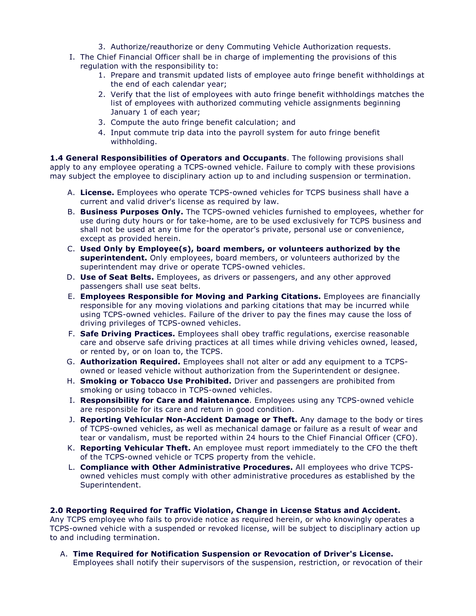- 3. Authorize/reauthorize or deny Commuting Vehicle Authorization requests.
- I. The Chief Financial Officer shall be in charge of implementing the provisions of this regulation with the responsibility to:
	- 1. Prepare and transmit updated lists of employee auto fringe benefit withholdings at the end of each calendar year;
	- 2. Verify that the list of employees with auto fringe benefit withholdings matches the list of employees with authorized commuting vehicle assignments beginning January 1 of each year;
	- 3. Compute the auto fringe benefit calculation; and
	- 4. Input commute trip data into the payroll system for auto fringe benefit withholding.

**1.4 General Responsibilities of Operators and Occupants**. The following provisions shall apply to any employee operating a TCPS-owned vehicle. Failure to comply with these provisions may subject the employee to disciplinary action up to and including suspension or termination.

- A. **License.** Employees who operate TCPS-owned vehicles for TCPS business shall have a current and valid driver's license as required by law.
- B. **Business Purposes Only.** The TCPS-owned vehicles furnished to employees, whether for use during duty hours or for take-home, are to be used exclusively for TCPS business and shall not be used at any time for the operator's private, personal use or convenience, except as provided herein.
- C. **Used Only by Employee(s), board members, or volunteers authorized by the superintendent.** Only employees, board members, or volunteers authorized by the superintendent may drive or operate TCPS-owned vehicles.
- D. **Use of Seat Belts.** Employees, as drivers or passengers, and any other approved passengers shall use seat belts.
- E. **Employees Responsible for Moving and Parking Citations.** Employees are financially responsible for any moving violations and parking citations that may be incurred while using TCPS-owned vehicles. Failure of the driver to pay the fines may cause the loss of driving privileges of TCPS-owned vehicles.
- F. **Safe Driving Practices.** Employees shall obey traffic regulations, exercise reasonable care and observe safe driving practices at all times while driving vehicles owned, leased, or rented by, or on loan to, the TCPS.
- G. **Authorization Required.** Employees shall not alter or add any equipment to <sup>a</sup> TCPS- owned or leased vehicle without authorization from the Superintendent or designee.
- H. **Smoking or Tobacco Use Prohibited.** Driver and passengers are prohibited from smoking or using tobacco in TCPS-owned vehicles.
- I. **Responsibility for Care and Maintenance**. Employees using any TCPS-owned vehicle are responsible for its care and return in good condition.
- J. **Reporting Vehicular Non-Accident Damage or Theft.** Any damage to the body or tires of TCPS-owned vehicles, as well as mechanical damage or failure as a result of wear and tear or vandalism, must be reported within 24 hours to the Chief Financial Officer (CFO).
- K. **Reporting Vehicular Theft.** An employee must report immediately to the CFO the theft of the TCPS-owned vehicle or TCPS property from the vehicle.
- L. **Compliance with Other Administrative Procedures.** All employees who drive TCPS owned vehicles must comply with other administrative procedures as established by the Superintendent.

#### **2.0 Reporting Required for Traffic Violation, Change in License Status and Accident.**

Any TCPS employee who fails to provide notice as required herein, or who knowingly operates a TCPS-owned vehicle with a suspended or revoked license, will be subject to disciplinary action up to and including termination.

A. **Time Required for Notification Suspension or Revocation of Driver's License.** Employees shall notify their supervisors of the suspension, restriction, or revocation of their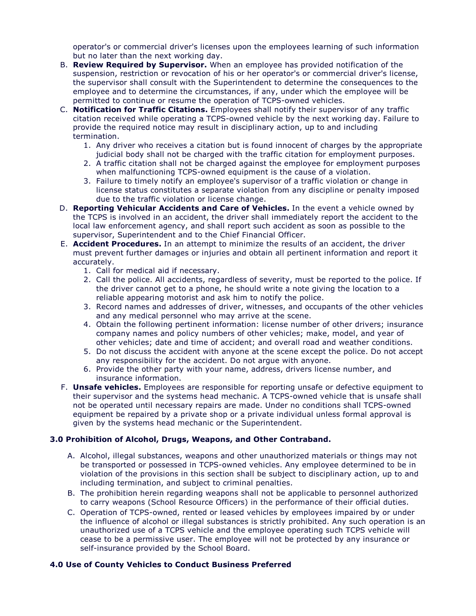operator's or commercial driver's licenses upon the employees learning of such information<br>but no later than the next working day.

- B. Review Required by Supervisor. When an employee has provided notification of the suspension, restriction or revocation of his or her operator's or commercial driver's license,<br>the supervisor shall consult with the Superintendent to determine the consequences to the employee and to determine the circumstances, if any, under which the employee will be
- permitted to continue or resume the operation of TCPS-owned vehicles. C. **Notification for Traffic Citations.** Employees shall notify their supervisor of any traffic citation received while operating a TCPS-owned vehicle by the next working day. Failure to provide the required notice may result in disciplinary action, up to and including
	- 1. Any driver who receives a citation but is found innocent of charges by the appropriate judicial body shall not be charged with the traffic citation for employment purposes.
	- 2. A traffic citation shall not be charged against the employee for employment purposes when malfunctioning TCPS-owned equipment is the cause of <sup>a</sup> violation. 3. Failure to timely notify an employee's supervisor of <sup>a</sup> traffic violation or change in
	- license status constitutes a separate violation from any discipline or penalty imposed
- due to the traffic violation or license change. D. **Reporting Vehicular Accidents and Care of Vehicles.** In the event <sup>a</sup> vehicle owned by the TCPS is involved in an accident, the driver shall immediately report the accident to the local law enforcement agency, and shall report such accident as soon as possible to the supervisor, Superintendent and to the Chief Financial Officer.
- E. **Accident Procedures.** In an attempt to minimize the results of an accident, the driver must prevent further damages or injuries and obtain all pertinent information and report it accurately.
	- 1. Call for medical aid if necessary.
	- 2. Call the police. All accidents, regardless of severity, must be reported to the police. If the driver cannot get to a phone, he should write a note giving the location to a
	- reliable appearing motorist and ask him to notify the police. 3. Record names and addresses of driver, witnesses, and occupants of the other vehicles and any medical personnel who may arrive at the scene.
	- 4. Obtain the following pertinent information: license number of other drivers; insurance company names and policy numbers of other vehicles; make, model, and year of other vehicles; date and time of accident; and overall road and weather conditions.
	- 5. Do not discuss the accident with anyone at the scene except the police. Do not accept any responsibility for the accident. Do not argue with anyone.
	- 6. Provide the other party with your name, address, drivers license number, and insurance information.
- F. **Unsafe vehicles.** Employees are responsible for reporting unsafe or defective equipment to their supervisor and the systems head mechanic. A TCPS-owned vehicle that is unsafe shall not be operated until necessary repairs are made. Under no conditions shall TCPS-owned equipment be repaired by a private shop or a private individual unless formal approval is given by the systems head mechanic or the Superintendent.

# **3.0 Prohibition of Alcohol, Drugs, Weapons, and Other Contraband.**

- A. Alcohol, illegal substances, weapons and other unauthorized materials or things may not be transported or possessed in TCPS-owned vehicles. Any employee determined to be in violation of the provisions in this section shall be subject to disciplinary action, up to and including termination, and subject to criminal penalties.
- B. The prohibition herein regarding weapons shall not be applicable to personnel authorized to carry weapons (School Resource Officers) in the performance of their official duties.
- C. Operation of TCPS-owned, rented or leased vehicles by employees impaired by or under the influence of alcohol or illegal substances is strictly prohibited. Any such operation is an unauthorized use of a TCPS vehicle and the employee operating such TCPS vehicle will cease to be a permissive user. The employee will not be protected by any insurance or self-insurance provided by the School Board.

# **4.0 Use of County Vehicles to Conduct Business Preferred**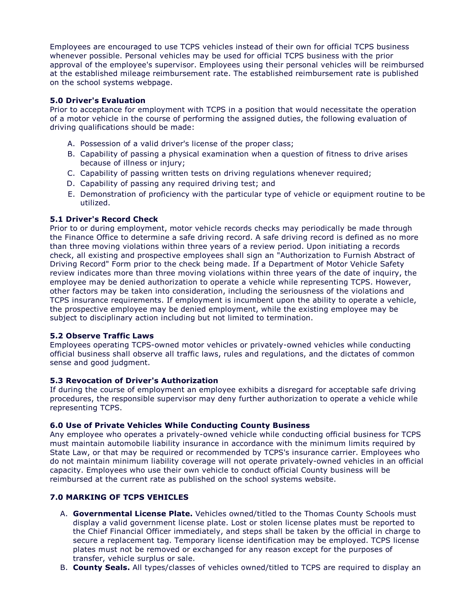Employees are encouraged to use TCPS vehicles instead of their own for official TCPS business whenever possible. Personal vehicles may be used for official TCPS business with the prior approval of the employee's supervisor. Employees using their personal vehicles will be reimbursed at the established mileage reimbursement rate. The established reimbursement rate is published on the school systems webpage.

### **5.0 Driver's Evaluation**

Prior to acceptance for employment with TCPS in a position that would necessitate the operation of a motor vehicle in the course of performing the assigned duties, the following evaluation of driving qualifications should be made:

- A. Possession of a valid driver's license of the proper class;
- B. Capability of passing a physical examination when a question of fitness to drive arises because of illness or injury;
- C. Capability of passing written tests on driving regulations whenever required;
- D. Capability of passing any required driving test; and
- E. Demonstration of proficiency with the particular type of vehicle or equipment routine to be utilized.

### **5.1 Driver's Record Check**

Prior to or during employment, motor vehicle records checks may periodically be made through the Finance Office to determine a safe driving record. A safe driving record is defined as no more than three moving violations within three years of a review period. Upon initiating a records check, all existing and prospective employees shall sign an "Authorization to Furnish Abstract of Driving Record" Form prior to the check being made. If a Department of Motor Vehicle Safety review indicates more than three moving violations within three years of the date of inquiry, the employee may be denied authorization to operate a vehicle while representing TCPS. However, other factors may be taken into consideration, including the seriousness of the violations and TCPS insurance requirements. If employment is incumbent upon the ability to operate a vehicle, the prospective employee may be denied employment, while the existing employee may be subject to disciplinary action including but not limited to termination.

#### **5.2 Observe Traffic Laws**

Employees operating TCPS-owned motor vehicles or privately-owned vehicles while conducting official business shall observe all traffic laws, rules and regulations, and the dictates of common sense and good judgment.

# **5.3 Revocation of Driver's Authorization**

If during the course of employment an employee exhibits a disregard for acceptable safe driving procedures, the responsible supervisor may deny further authorization to operate a vehicle while representing TCPS.

#### **6.0 Use of Private Vehicles While Conducting County Business**

Any employee who operates a privately-owned vehicle while conducting official business for TCPS must maintain automobile liability insurance in accordance with the minimum limits required by State Law, or that may be required or recommended by TCPS's insurance carrier. Employees who do not maintain minimum liability coverage will not operate privately-owned vehicles in an official capacity. Employees who use their own vehicle to conduct official County business will be reimbursed at the current rate as published on the school systems website.

# **7.0 MARKING OF TCPS VEHICLES**

- A. **Governmental License Plate.** Vehicles owned/titled to the Thomas County Schools must display a valid government license plate. Lost or stolen license plates must be reported to the Chief Financial Officer immediately, and steps shall be taken by the official in charge to secure a replacement tag. Temporary license identification may be employed. TCPS license plates must not be removed or exchanged for any reason except for the purposes of transfer, vehicle surplus or sale.
- B. **County Seals.** All types/classes of vehicles owned/titled to TCPS are required to display an